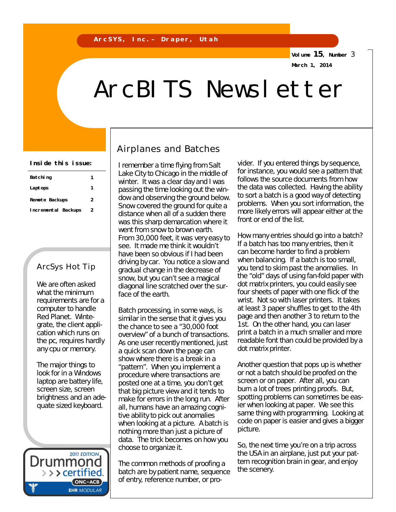**Volume 15, Number** 3

**March 1, 2014**

# ArcBITS Newsletter

| Inside this issue: |  |  |  |  |
|--------------------|--|--|--|--|
|--------------------|--|--|--|--|

| Batching            |   |  |
|---------------------|---|--|
| Laptops             |   |  |
| Remote Backups      | 2 |  |
| Incremental Backups | 2 |  |

### ArcSys Hot Tip

We are often asked what the minimum requirements are for a computer to handle Red Planet. Wintegrate, the client application which runs on the pc, requires hardly any cpu or memory.

The major things to look for in a Windows laptop are battery life, screen size, screen brightness and an adequate sized keyboard.

**2011 EDITION** Drummond > > > certified. ONC-ACB **EHR MODULAR** 

# Airplanes and Batches

I remember a time flying from Salt Lake City to Chicago in the middle of winter. It was a clear day and I was passing the time looking out the window and observing the ground below. Snow covered the ground for quite a distance when all of a sudden there was this sharp demarcation where it went from snow to brown earth. From 30,000 feet, it was very easy to see. It made me think it wouldn't have been so obvious if I had been driving by car. You notice a slow and gradual change in the decrease of snow, but you can't see a magical diagonal line scratched over the surface of the earth.

Batch processing, in some ways, is similar in the sense that it gives you the chance to see a "30,000 foot overview" of a bunch of transactions. As one user recently mentioned, just a quick scan down the page can show where there is a break in a "pattern". When you implement a procedure where transactions are posted one at a time, you don't get that big picture view and it tends to make for errors in the long run. After all, humans have an amazing cognitive ability to pick out anomalies when looking at a picture. A batch is nothing more than just a picture of data. The trick becomes on how you choose to organize it.

The common methods of proofing a batch are by patient name, sequence of entry, reference number, or provider. If you entered things by sequence, for instance, you would see a pattern that follows the source documents from how the data was collected. Having the ability to sort a batch is a good way of detecting problems. When you sort information, the more likely errors will appear either at the front or end of the list.

How many entries should go into a batch? If a batch has too many entries, then it can become harder to find a problem when balancing. If a batch is too small, you tend to skim past the anomalies. In the "old" days of using fan-fold paper with dot matrix printers, you could easily see four sheets of paper with one flick of the wrist. Not so with laser printers. It takes at least 3 paper shuffles to get to the 4th page and then another 3 to return to the 1st. On the other hand, you can laser print a batch in a much smaller and more readable font than could be provided by a dot matrix printer.

Another question that pops up is whether or not a batch should be proofed on the screen or on paper. After all, you can burn a lot of trees printing proofs. But, spotting problems can sometimes be easier when looking at paper. We see this same thing with programming. Looking at code on paper is easier and gives a bigger picture.

So, the next time you're on a trip across the USA in an airplane, just put your pattern recognition brain in gear, and enjoy the scenery.